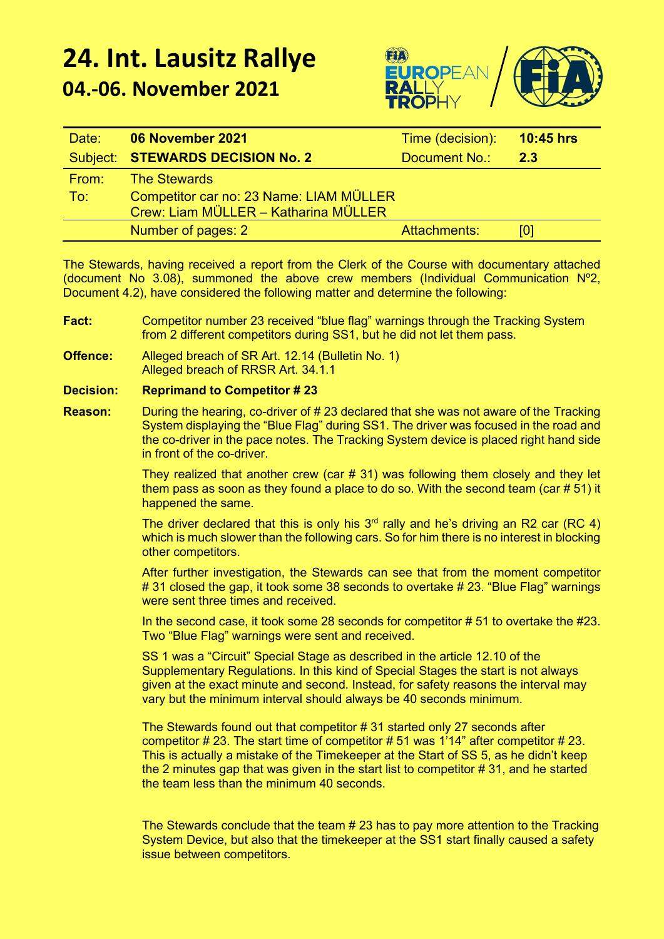## **24. Int. Lausitz Rallye 04.-06. November 2021**



| Date: | 06 November 2021                        | Time (decision): | $10:45$ hrs |
|-------|-----------------------------------------|------------------|-------------|
|       | Subject: STEWARDS DECISION No. 2        | Document No.:    | -2.3        |
| From: | <b>The Stewards</b>                     |                  |             |
| To:   | Competitor car no: 23 Name: LIAM MÜLLER |                  |             |
|       | Crew: Liam MÜLLER - Katharina MÜLLER    |                  |             |
|       | Number of pages: 2                      | Attachments:     | [0]         |

The Stewards, having received a report from the Clerk of the Course with documentary attached (document No  $3.08$ ), summoned the above crew members (Individual Communication  $N^{\circ}2$ , Document 4.2), have considered the following matter and determine the following:

- **Fact:** Competitor number 23 received "blue flag" warnings through the Tracking System from 2 different competitors during SS1, but he did not let them pass.
- **Offence:** Alleged breach of SR Art. 12.14 (Bulletin No. 1) Alleged breach of RRSR Art. 34.1.1

## **Decision: Reprimand to Competitor # 23**

**Reason:** During the hearing, co-driver of # 23 declared that she was not aware of the Tracking System displaying the "Blue Flag" during SS1. The driver was focused in the road and the co-driver in the pace notes. The Tracking System device is placed right hand side in front of the co-driver.

> They realized that another crew (car # 31) was following them closely and they let them pass as soon as they found a place to do so. With the second team (car # 51) it happened the same.

> The driver declared that this is only his  $3<sup>rd</sup>$  rally and he's driving an R2 car (RC 4) which is much slower than the following cars. So for him there is no interest in blocking other competitors.

> After further investigation, the Stewards can see that from the moment competitor # 31 closed the gap, it took some 38 seconds to overtake # 23. "Blue Flag" warnings were sent three times and received.

> In the second case, it took some 28 seconds for competitor # 51 to overtake the #23. Two "Blue Flag" warnings were sent and received.

SS 1 was a "Circuit" Special Stage as described in the article 12.10 of the Supplementary Regulations. In this kind of Special Stages the start is not always given at the exact minute and second. Instead, for safety reasons the interval may vary but the minimum interval should always be 40 seconds minimum.

The Stewards found out that competitor # 31 started only 27 seconds after competitor # 23. The start time of competitor # 51 was 1'14" after competitor # 23. This is actually a mistake of the Timekeeper at the Start of SS 5, as he didn't keep the 2 minutes gap that was given in the start list to competitor # 31, and he started the team less than the minimum 40 seconds.

The Stewards conclude that the team # 23 has to pay more attention to the Tracking System Device, but also that the timekeeper at the SS1 start finally caused a safety issue between competitors.